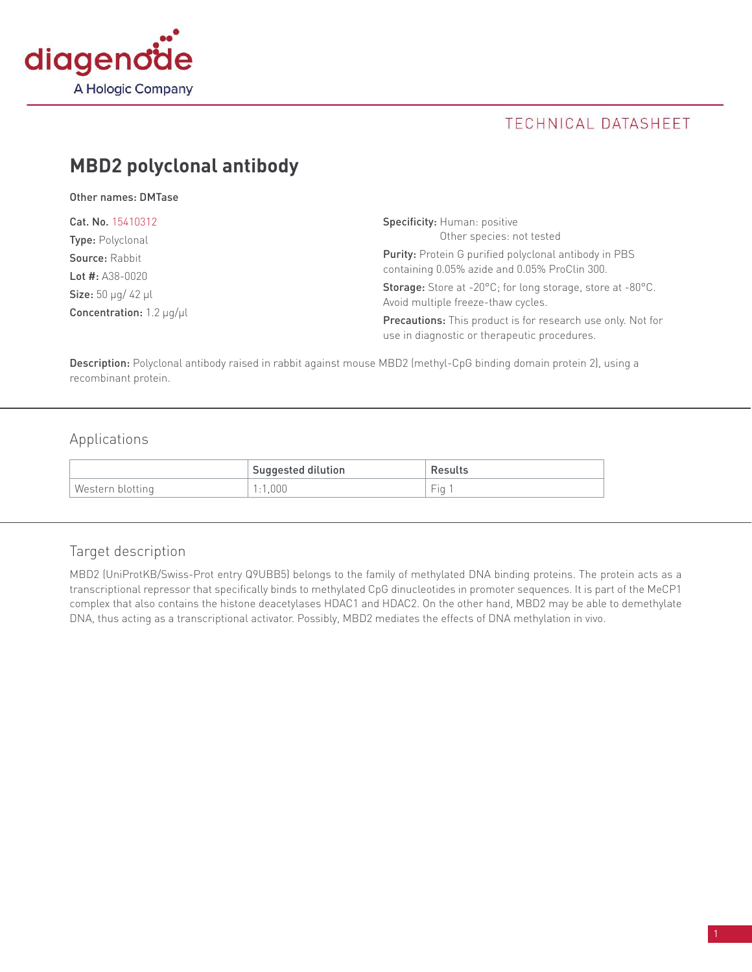

## TECHNICAL DATASHEET

# **MBD2 polyclonal antibody**

Other names: DMTase

| Cat. No. 15410312                                                                                      | <b>Specificity: Human: positive</b><br>Other species: not tested                                                                                         |  |
|--------------------------------------------------------------------------------------------------------|----------------------------------------------------------------------------------------------------------------------------------------------------------|--|
| <b>Type:</b> Polyclonal<br>Source: Rabbit                                                              | Purity: Protein G purified polyclonal antibody in PBS                                                                                                    |  |
| Lot #: $A38-0020$<br><b>Size:</b> 50 $\mu$ g/ 42 $\mu$ l<br><b>Concentration:</b> 1.2 $\mu$ g/ $\mu$ l | containing 0.05% azide and 0.05% ProClin 300.<br><b>Storage:</b> Store at -20°C; for long storage, store at -80°C.<br>Avoid multiple freeze-thaw cycles. |  |
|                                                                                                        | <b>Precautions:</b> This product is for research use only. Not for<br>use in diagnostic or therapeutic procedures.                                       |  |

Description: Polyclonal antibody raised in rabbit against mouse MBD2 (methyl-CpG binding domain protein 2), using a recombinant protein.

## Applications

|                  | <b>Suggested dilution</b> | Results                                 |
|------------------|---------------------------|-----------------------------------------|
| Western blotting | .000                      | $\overline{\phantom{a}}$<br>$-10o$<br>u |

### Target description

MBD2 (UniProtKB/Swiss-Prot entry Q9UBB5) belongs to the family of methylated DNA binding proteins. The protein acts as a transcriptional repressor that specifically binds to methylated CpG dinucleotides in promoter sequences. It is part of the MeCP1 complex that also contains the histone deacetylases HDAC1 and HDAC2. On the other hand, MBD2 may be able to demethylate DNA, thus acting as a transcriptional activator. Possibly, MBD2 mediates the effects of DNA methylation in vivo.